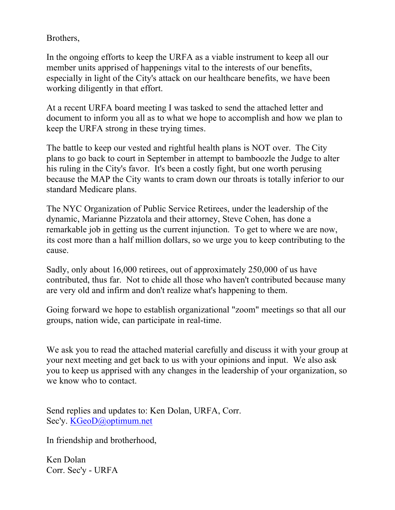Brothers,

In the ongoing efforts to keep the URFA as a viable instrument to keep all our member units apprised of happenings vital to the interests of our benefits, especially in light of the City's attack on our healthcare benefits, we have been working diligently in that effort.

At a recent URFA board meeting I was tasked to send the attached letter and document to inform you all as to what we hope to accomplish and how we plan to keep the URFA strong in these trying times.

The battle to keep our vested and rightful health plans is NOT over. The City plans to go back to court in September in attempt to bamboozle the Judge to alter his ruling in the City's favor. It's been a costly fight, but one worth perusing because the MAP the City wants to cram down our throats is totally inferior to our standard Medicare plans.

The NYC Organization of Public Service Retirees, under the leadership of the dynamic, Marianne Pizzatola and their attorney, Steve Cohen, has done a remarkable job in getting us the current injunction. To get to where we are now, its cost more than a half million dollars, so we urge you to keep contributing to the cause.

Sadly, only about 16,000 retirees, out of approximately 250,000 of us have contributed, thus far. Not to chide all those who haven't contributed because many are very old and infirm and don't realize what's happening to them.

Going forward we hope to establish organizational "zoom" meetings so that all our groups, nation wide, can participate in real-time.

We ask you to read the attached material carefully and discuss it with your group at your next meeting and get back to us with your opinions and input. We also ask you to keep us apprised with any changes in the leadership of your organization, so we know who to contact.

Send replies and updates to: Ken Dolan, URFA, Corr. Sec'y. KGeoD@optimum.net

In friendship and brotherhood,

Ken Dolan Corr. Sec'y - URFA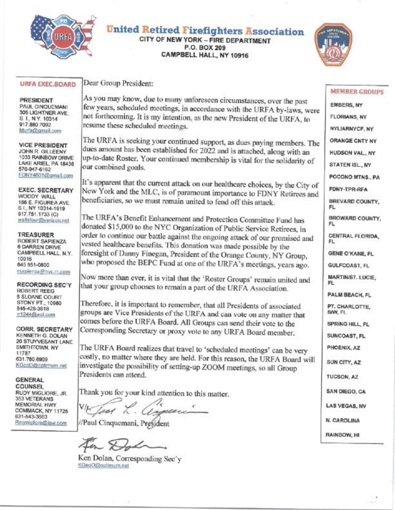

### **United Retired Firefighters Association** CITY OF NEW YORK - FIRE DEPARTMENT P.O. BOX 209

CAMPBELL HALL, NY 10916

### **URFA EXEC, BOARD**

**PRESIDENT** PAUL CINQUEMANI 305 LIGHTNER AVE S. I., N.Y. 10314 917.880.7092 fdurfa@gmail.com

**VICE PRESIDENT** JOHN R. GILLEENY 1033 RAINBOW DRIVE LAKE ARIEL, PA 18436 570-947-6162 FDNY4601@gmail.com

**EXEC. SECRETARY** WOODY WALL 156 E. FIGUREA AVE. S.I., NY 10314-1919 917.751.1733 (C) wallsfoun@verizon.net

**TREASURER** ROBERT SAPIENZA 6 DARREN DRIVE CAMPBELL HALL, N.Y. 10916 845 551-0800 rsapienza@hvc.rr.com

**RECORDING SEC'Y ROBERT REEG 8 SLOANE COURT** STONY PT., 10980 845-429-3618 m1244@aoLcom

CORR. SECRETARY KENNETH G. DOLAN 20 STUYVESANT LANE SMITHTOWN, NY 11787 631.780.6909 KGcoD@cptimum.net

**GENERAL COUNSEL** RUDY MIGLIORE, JR. 353 VETERANS MEMORIAL HWY. COMMACK, NY 11725 631-543-3663 Rmimigliore@law.com

Dear Group President:

As you may know, due to many unforeseen circumstances, over the past few years, scheduled meetings, in accordance with the URFA by-laws, were not forthcoming. It is my intention, as the new President of the URFA, to resume these scheduled meetings.

The URFA is seeking your continued support, as dues paying members. The dues amount has been established for 2022 and is attached, along with an up-to-date Roster. Your continued membership is vital for the solidarity of our combined goals.

It's apparent that the current attack on our healthcare choices, by the City of New York and the MLC, is of paramount importance to FDNY Retirees and beneficiaries, so we must remain united to fend off this attack.

The URFA's Benefit Enhancement and Protection Committee Fund has donated \$15,000 to the NYC Organization of Public Service Retirees, in order to continue our battle against the ongoing attack of our promised and vested healthcare benefits. This donation was made possible by the foresight of Danny Finegan, President of the Orange County, NY Group, who proposed the BEPC Fund at one of the URFA's meetings, years ago.

Now more than ever, it is vital that the 'Roster Groups' remain united and that your group chooses to remain a part of the URFA Association.

Therefore, it is important to remember, that all Presidents of associated groups are Vice Presidents of the URFA and can vote on any matter that comes before the URFA Board. All Groups can send their vote to the Corresponding Secretary or proxy vote to any URFA Board member.

The URFA Board realizes that travel to 'scheduled meetings' can be very costly, no matter where they are held. For this reason, the URFA Board will investigate the possibility of setting-up ZOOM meetings, so all Group Presidents can attend

Thank you for your kind attention to this matter.

ict uer.

//Paul Cinquemani, President

Ken Dolan, Corresponding Sec'v KGeoD@optimum.net

### **MEMBER GROUPS**

EMBERS, NY **FLORIANS, NY** NYLIARNYCF, NY ORANGE CNTY NY **HUDSON VAL., NY** STATEN ISL., NY POCONO MTNS., PA FDNY-TPR-RFA BREVARD COUNTY, FL BROWARD COUNTY. FL CENTRAL FLORIDA. FL. **GENE O'KANE, FL** GULFCOAST, FL **MARTIN/ST. LUCIE,** FL. PALM BEACH, FL PT. CHARLOTTE. S/W, FL SPRING HILL, FL SUNCOAST, FL PHOENIX, AZ SUN CITY, AZ TUCSON, AZ SAN DIEGO, CA LAS VEGAS, NV N. CAROLINA RAINBOW, HI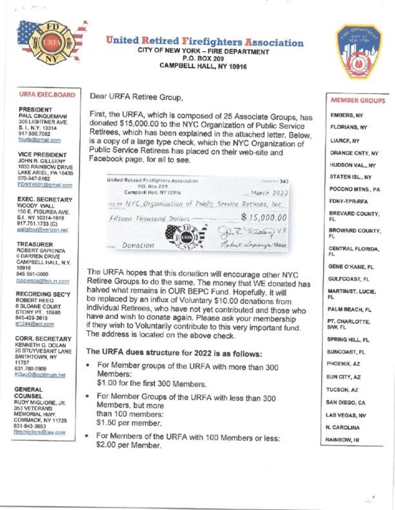

# **United Retired Firefighters Association**

CITY OF NEW YORK - FIRE DEPARTMENT P.O. BOX 209 CAMPBELL HALL, NY 10916



### **URFA EXEC.BOARD**

**PRESIDENT** PAUL CINQUEMANI 305 LIGHTNER AVE. S. I., N.Y. 10314 917.880.7092 fdurfa@gmail.com

**VICE PRESIDENT** JOHN R. GILLEENY 1033 RAINBOW DRIVE LAKE ARIEL, PA 18436 570-947-6162 FDNY4601@gmail.com

**EXEC. SECRETARY** WOODY WALL 156 E. FIGUREA AVE. S.I. NY 10314-1919 917.751.1733 (C) wallsfour@verizon.net

**TREASURER** ROBERT SAPIENZA **6 DARREN DRIVE** CAMPBELL HALL, N.Y. 10916 845 551-0800 rsapienza@hvc.rr.com

**RECORDING SEC'Y ROBERT REEG 6 SLOANE COURT** STONY PT., 10980 845-429-3618 fr1244@aol.com

**CORR, SECRETARY** KENNETH G. DOLAN 20 STUYVESANT LANE SMITHTOWN, NY **11787** 631.780.6909 KGeoD@cotimum.net

**GENERAL** COUNSEL RUDY MIGLIORE, JR. 353 VETERANS MEMORIAL HWY. COMMACK, NY 11725 631-643-3663 Rmimigliore@law.com

Dear URFA Retiree Group,

First, the URFA, which is composed of 25 Associate Groups, has donated \$15,000.00 to the NYC Organization of Public Service Retirees, which has been explained in the attached letter. Below, is a copy of a large type check, which the NYC Organization of Public Service Retirees has placed on their web-site and Facebook page, for all to see.

| United Retired Firefighters Association<br>P.O. Box 209  | 5000000000343         |
|----------------------------------------------------------|-----------------------|
| Campbell Hall, NY 10916                                  | March 2022            |
| vas in NYC Organization of Public Service Retirees, Inc. |                       |
| Fifteen Thousand Dollars                                 | \$15,000.00           |
|                                                          | R. R. Reserve J. V.P. |
| Donation                                                 | Robert Lapinga These  |

The URFA hopes that this donation will encourage other NYC Retiree Groups to do the same. The money that WE donated has halved what remains in OUR BEPC Fund. Hopefully, it will be replaced by an influx of Voluntary \$10.00 donations from individual Retirees, who have not yet contributed and those who have and wish to donate again. Please ask your membership if they wish to Voluntarily contribute to this very important fund. The address is located on the above check.

## The URFA dues structure for 2022 is as follows:

- For Member groups of the URFA with more than 300  $\bullet$ Members:
	- \$1.00 for the first 300 Members.
- For Member Groups of the URFA with less than 300 Members, but more than 100 members: \$1.50 per member.
- For Members of the URFA with 100 Members or less: \$2.00 per Member.

#### **MEMBER GROUPS**

**EMBERS, NY** FLORIANS, NY LIARCF, NY **ORANGE CNTY, NY** HUDSON VAL., NY STATEN ISL., NY POCONO MTNS., PA FDNY-TPR-RFA BREVARD COUNTY,

FL.

**BROWARD COUNTY,** FL.

CENTRAL FLORIDA. EL.

GENE O'KANE, FL

**GULFCOAST, FL** 

**MARTIN/ST. LUCIE,** FL.

PALM BEACH, FL

PT. CHARLOTTE. SAW, FL

SPRING HILL, FL

SUNCOAST, FL

PHOENIX, AZ

SUN CITY, AZ

TUCSON, AZ

SAN DIEGO, CA

**LAS VEGAS, NV** 

N. CAROLINA

RAINBOW, HI